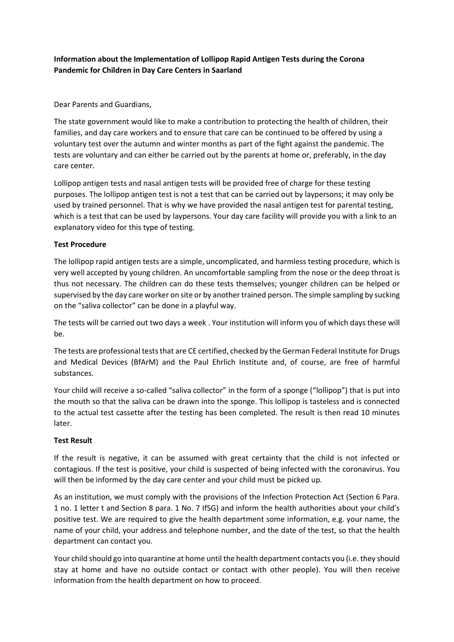## **Information about the Implementation of Lollipop Rapid Antigen Tests during the Corona Pandemic for Children in Day Care Centers in Saarland**

Dear Parents and Guardians,

The state government would like to make a contribution to protecting the health of children, their families, and day care workers and to ensure that care can be continued to be offered by using a voluntary test over the autumn and winter months as part of the fight against the pandemic. The tests are voluntary and can either be carried out by the parents at home or, preferably, in the day care center.

Lollipop antigen tests and nasal antigen tests will be provided free of charge for these testing purposes. The lollipop antigen test is not a test that can be carried out by laypersons; it may only be used by trained personnel. That is why we have provided the nasal antigen test for parental testing, which is a test that can be used by laypersons. Your day care facility will provide you with a link to an explanatory video for this type of testing.

## **Test Procedure**

The lollipop rapid antigen tests are a simple, uncomplicated, and harmless testing procedure, which is very well accepted by young children. An uncomfortable sampling from the nose or the deep throat is thus not necessary. The children can do these tests themselves; younger children can be helped or supervised by the day care worker on site or by another trained person. The simple sampling by sucking on the "saliva collector" can be done in a playful way.

The tests will be carried out two days a week . Your institution will inform you of which days these will be.

The tests are professional tests that are CE certified, checked by the German Federal Institute for Drugs and Medical Devices (BfArM) and the Paul Ehrlich Institute and, of course, are free of harmful substances.

Your child will receive a so-called "saliva collector" in the form of a sponge ("lollipop") that is put into the mouth so that the saliva can be drawn into the sponge. This lollipop is tasteless and is connected to the actual test cassette after the testing has been completed. The result is then read 10 minutes later.

## **Test Result**

If the result is negative, it can be assumed with great certainty that the child is not infected or contagious. If the test is positive, your child is suspected of being infected with the coronavirus. You will then be informed by the day care center and your child must be picked up.

As an institution, we must comply with the provisions of the Infection Protection Act (Section 6 Para. 1 no. 1 letter t and Section 8 para. 1 No. 7 IfSG) and inform the health authorities about your child's positive test. We are required to give the health department some information, e.g. your name, the name of your child, your address and telephone number, and the date of the test, so that the health department can contact you.

Your child should go into quarantine at home until the health department contacts you (i.e. they should stay at home and have no outside contact or contact with other people). You will then receive information from the health department on how to proceed.